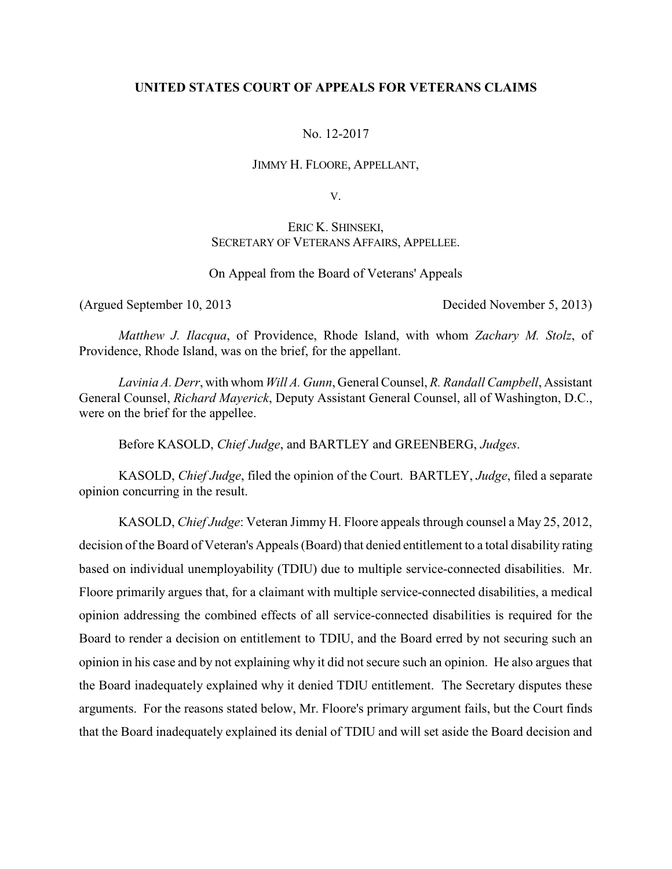# **UNITED STATES COURT OF APPEALS FOR VETERANS CLAIMS**

# No. 12-2017

#### JIMMY H. FLOORE, APPELLANT,

V.

# ERIC K. SHINSEKI, SECRETARY OF VETERANS AFFAIRS, APPELLEE.

## On Appeal from the Board of Veterans' Appeals

(Argued September 10, 2013 Decided November 5, 2013)

*Matthew J. Ilacqua*, of Providence, Rhode Island, with whom *Zachary M. Stolz*, of Providence, Rhode Island, was on the brief, for the appellant.

*Lavinia A. Derr*, with whom *Will A. Gunn*, General Counsel, *R. Randall Campbell*, Assistant General Counsel, *Richard Mayerick*, Deputy Assistant General Counsel, all of Washington, D.C., were on the brief for the appellee.

Before KASOLD, *Chief Judge*, and BARTLEY and GREENBERG, *Judges*.

KASOLD, *Chief Judge*, filed the opinion of the Court. BARTLEY, *Judge*, filed a separate opinion concurring in the result.

KASOLD, *Chief Judge*: Veteran Jimmy H. Floore appeals through counsel a May 25, 2012, decision of the Board of Veteran's Appeals (Board) that denied entitlement to a total disability rating based on individual unemployability (TDIU) due to multiple service-connected disabilities. Mr. Floore primarily argues that, for a claimant with multiple service-connected disabilities, a medical opinion addressing the combined effects of all service-connected disabilities is required for the Board to render a decision on entitlement to TDIU, and the Board erred by not securing such an opinion in his case and by not explaining why it did not secure such an opinion. He also argues that the Board inadequately explained why it denied TDIU entitlement. The Secretary disputes these arguments. For the reasons stated below, Mr. Floore's primary argument fails, but the Court finds that the Board inadequately explained its denial of TDIU and will set aside the Board decision and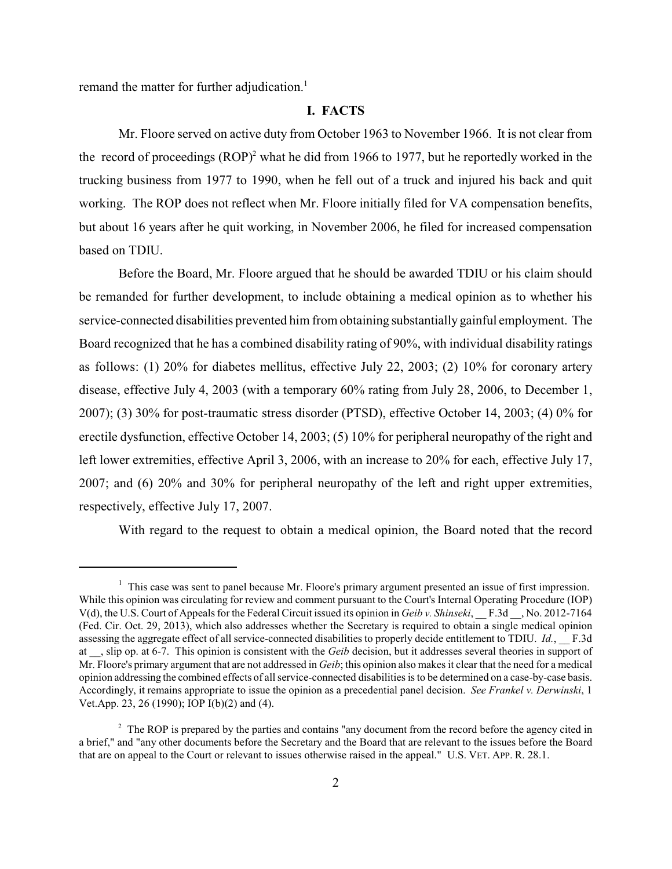remand the matter for further adjudication.<sup>1</sup>

### **I. FACTS**

Mr. Floore served on active duty from October 1963 to November 1966. It is not clear from the record of proceedings  $(ROP)^2$  what he did from 1966 to 1977, but he reportedly worked in the trucking business from 1977 to 1990, when he fell out of a truck and injured his back and quit working. The ROP does not reflect when Mr. Floore initially filed for VA compensation benefits, but about 16 years after he quit working, in November 2006, he filed for increased compensation based on TDIU.

Before the Board, Mr. Floore argued that he should be awarded TDIU or his claim should be remanded for further development, to include obtaining a medical opinion as to whether his service-connected disabilities prevented him from obtaining substantially gainful employment. The Board recognized that he has a combined disability rating of 90%, with individual disability ratings as follows: (1) 20% for diabetes mellitus, effective July 22, 2003; (2) 10% for coronary artery disease, effective July 4, 2003 (with a temporary 60% rating from July 28, 2006, to December 1, 2007); (3) 30% for post-traumatic stress disorder (PTSD), effective October 14, 2003; (4) 0% for erectile dysfunction, effective October 14, 2003; (5) 10% for peripheral neuropathy of the right and left lower extremities, effective April 3, 2006, with an increase to 20% for each, effective July 17, 2007; and (6) 20% and 30% for peripheral neuropathy of the left and right upper extremities, respectively, effective July 17, 2007.

With regard to the request to obtain a medical opinion, the Board noted that the record

 $1$ . This case was sent to panel because Mr. Floore's primary argument presented an issue of first impression. While this opinion was circulating for review and comment pursuant to the Court's Internal Operating Procedure (IOP) V(d), the U.S. Court of Appeals for the Federal Circuit issued its opinion in *Geib v. Shinseki*, \_\_ F.3d \_\_, No. 2012-7164 (Fed. Cir. Oct. 29, 2013), which also addresses whether the Secretary is required to obtain a single medical opinion assessing the aggregate effect of all service-connected disabilities to properly decide entitlement to TDIU. *Id.*, F.3d at \_\_, slip op. at 6-7. This opinion is consistent with the *Geib* decision, but it addresses several theories in support of Mr. Floore's primary argument that are not addressed in *Geib*; this opinion also makes it clear that the need for a medical opinion addressing the combined effects of all service-connected disabilities is to be determined on a case-by-case basis. Accordingly, it remains appropriate to issue the opinion as a precedential panel decision. *See Frankel v. Derwinski*, 1 Vet.App. 23, 26 (1990); IOP I(b)(2) and (4).

<sup>&</sup>lt;sup>2</sup> The ROP is prepared by the parties and contains "any document from the record before the agency cited in a brief," and "any other documents before the Secretary and the Board that are relevant to the issues before the Board that are on appeal to the Court or relevant to issues otherwise raised in the appeal." U.S. VET. APP. R. 28.1.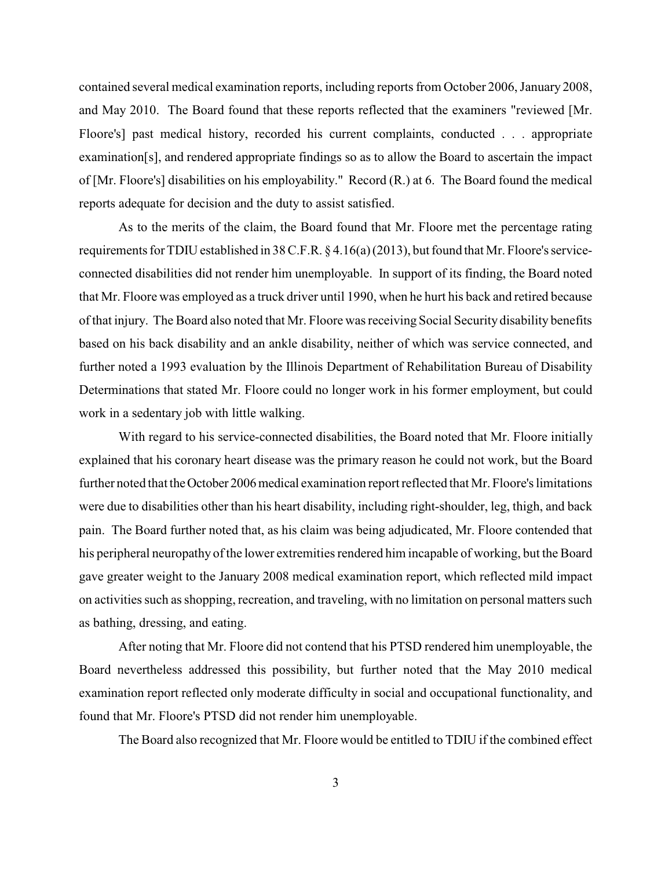contained several medical examination reports, including reports from October 2006, January 2008, and May 2010. The Board found that these reports reflected that the examiners "reviewed [Mr. Floore's] past medical history, recorded his current complaints, conducted . . . appropriate examination[s], and rendered appropriate findings so as to allow the Board to ascertain the impact of [Mr. Floore's] disabilities on his employability." Record (R.) at 6. The Board found the medical reports adequate for decision and the duty to assist satisfied.

As to the merits of the claim, the Board found that Mr. Floore met the percentage rating requirements for TDIU established in 38 C.F.R. § 4.16(a)(2013), but found that Mr. Floore's serviceconnected disabilities did not render him unemployable. In support of its finding, the Board noted that Mr. Floore was employed as a truck driver until 1990, when he hurt his back and retired because of that injury. The Board also noted that Mr. Floore was receiving Social Security disability benefits based on his back disability and an ankle disability, neither of which was service connected, and further noted a 1993 evaluation by the Illinois Department of Rehabilitation Bureau of Disability Determinations that stated Mr. Floore could no longer work in his former employment, but could work in a sedentary job with little walking.

With regard to his service-connected disabilities, the Board noted that Mr. Floore initially explained that his coronary heart disease was the primary reason he could not work, but the Board further noted that the October 2006 medical examination report reflected that Mr. Floore's limitations were due to disabilities other than his heart disability, including right-shoulder, leg, thigh, and back pain. The Board further noted that, as his claim was being adjudicated, Mr. Floore contended that his peripheral neuropathy of the lower extremities rendered him incapable of working, but the Board gave greater weight to the January 2008 medical examination report, which reflected mild impact on activities such as shopping, recreation, and traveling, with no limitation on personal matters such as bathing, dressing, and eating.

After noting that Mr. Floore did not contend that his PTSD rendered him unemployable, the Board nevertheless addressed this possibility, but further noted that the May 2010 medical examination report reflected only moderate difficulty in social and occupational functionality, and found that Mr. Floore's PTSD did not render him unemployable.

The Board also recognized that Mr. Floore would be entitled to TDIU if the combined effect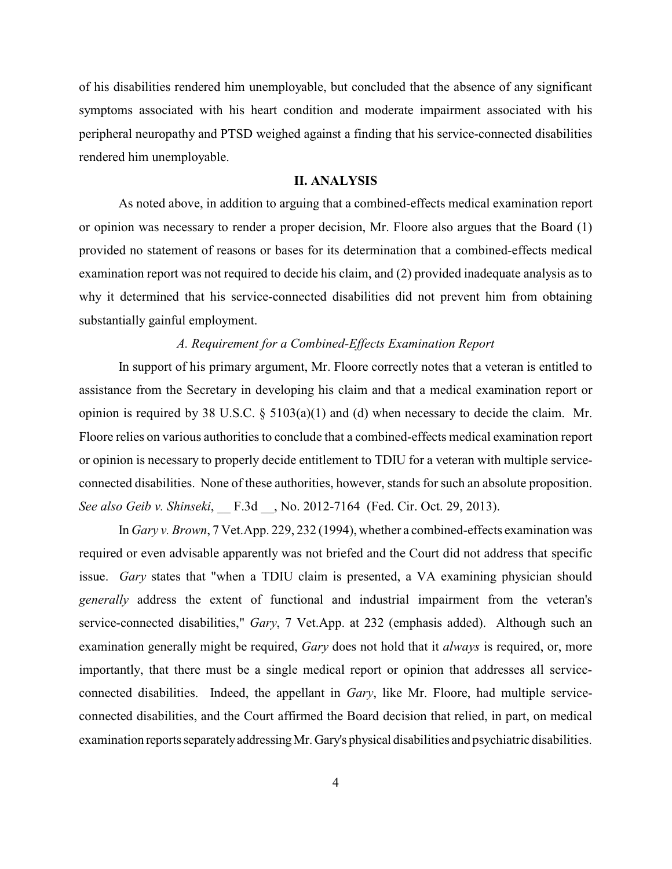of his disabilities rendered him unemployable, but concluded that the absence of any significant symptoms associated with his heart condition and moderate impairment associated with his peripheral neuropathy and PTSD weighed against a finding that his service-connected disabilities rendered him unemployable.

# **II. ANALYSIS**

As noted above, in addition to arguing that a combined-effects medical examination report or opinion was necessary to render a proper decision, Mr. Floore also argues that the Board (1) provided no statement of reasons or bases for its determination that a combined-effects medical examination report was not required to decide his claim, and (2) provided inadequate analysis as to why it determined that his service-connected disabilities did not prevent him from obtaining substantially gainful employment.

### *A. Requirement for a Combined-Effects Examination Report*

In support of his primary argument, Mr. Floore correctly notes that a veteran is entitled to assistance from the Secretary in developing his claim and that a medical examination report or opinion is required by 38 U.S.C.  $\S$  5103(a)(1) and (d) when necessary to decide the claim. Mr. Floore relies on various authorities to conclude that a combined-effects medical examination report or opinion is necessary to properly decide entitlement to TDIU for a veteran with multiple serviceconnected disabilities. None of these authorities, however, stands for such an absolute proposition. *See also Geib v. Shinseki*, \_\_ F.3d \_\_, No. 2012-7164 (Fed. Cir. Oct. 29, 2013).

In *Gary v. Brown*, 7 Vet.App. 229, 232 (1994), whether a combined-effects examination was required or even advisable apparently was not briefed and the Court did not address that specific issue. *Gary* states that "when a TDIU claim is presented, a VA examining physician should *generally* address the extent of functional and industrial impairment from the veteran's service-connected disabilities," *Gary*, 7 Vet.App. at 232 (emphasis added). Although such an examination generally might be required, *Gary* does not hold that it *always* is required, or, more importantly, that there must be a single medical report or opinion that addresses all serviceconnected disabilities. Indeed, the appellant in *Gary*, like Mr. Floore, had multiple serviceconnected disabilities, and the Court affirmed the Board decision that relied, in part, on medical examination reports separately addressing Mr. Gary's physical disabilities and psychiatric disabilities.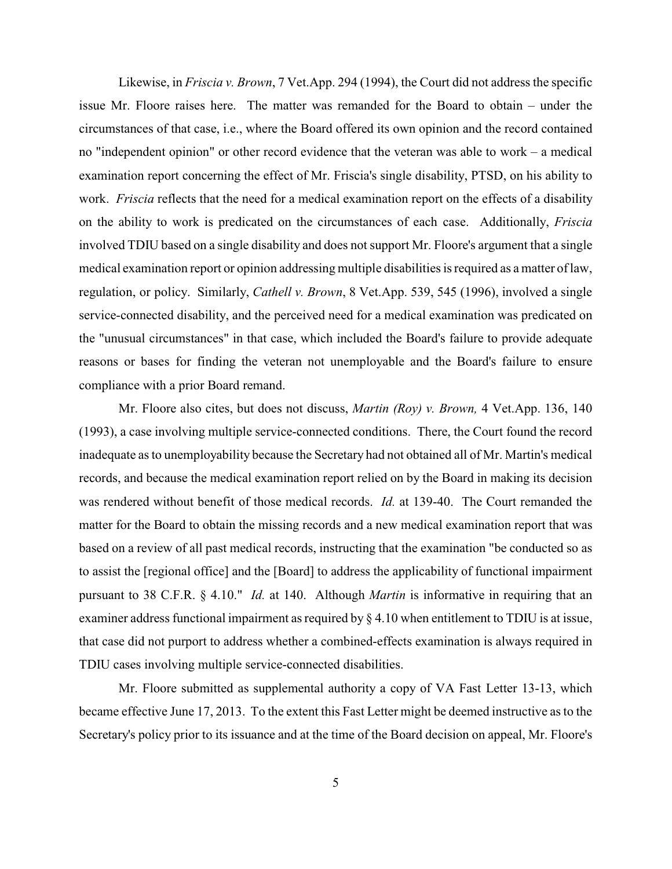Likewise, in *Friscia v. Brown*, 7 Vet.App. 294 (1994), the Court did not address the specific issue Mr. Floore raises here. The matter was remanded for the Board to obtain – under the circumstances of that case, i.e., where the Board offered its own opinion and the record contained no "independent opinion" or other record evidence that the veteran was able to work – a medical examination report concerning the effect of Mr. Friscia's single disability, PTSD, on his ability to work. *Friscia* reflects that the need for a medical examination report on the effects of a disability on the ability to work is predicated on the circumstances of each case. Additionally, *Friscia* involved TDIU based on a single disability and does not support Mr. Floore's argument that a single medical examination report or opinion addressing multiple disabilities is required as a matter of law, regulation, or policy. Similarly, *Cathell v. Brown*, 8 Vet.App. 539, 545 (1996), involved a single service-connected disability, and the perceived need for a medical examination was predicated on the "unusual circumstances" in that case, which included the Board's failure to provide adequate reasons or bases for finding the veteran not unemployable and the Board's failure to ensure compliance with a prior Board remand.

Mr. Floore also cites, but does not discuss, *Martin (Roy) v. Brown,* 4 Vet.App. 136, 140 (1993), a case involving multiple service-connected conditions. There, the Court found the record inadequate as to unemployability because the Secretary had not obtained all of Mr. Martin's medical records, and because the medical examination report relied on by the Board in making its decision was rendered without benefit of those medical records. *Id.* at 139-40. The Court remanded the matter for the Board to obtain the missing records and a new medical examination report that was based on a review of all past medical records, instructing that the examination "be conducted so as to assist the [regional office] and the [Board] to address the applicability of functional impairment pursuant to 38 C.F.R. § 4.10." *Id.* at 140. Although *Martin* is informative in requiring that an examiner address functional impairment as required by § 4.10 when entitlement to TDIU is at issue, that case did not purport to address whether a combined-effects examination is always required in TDIU cases involving multiple service-connected disabilities.

Mr. Floore submitted as supplemental authority a copy of VA Fast Letter 13-13, which became effective June 17, 2013. To the extent this Fast Letter might be deemed instructive as to the Secretary's policy prior to its issuance and at the time of the Board decision on appeal, Mr. Floore's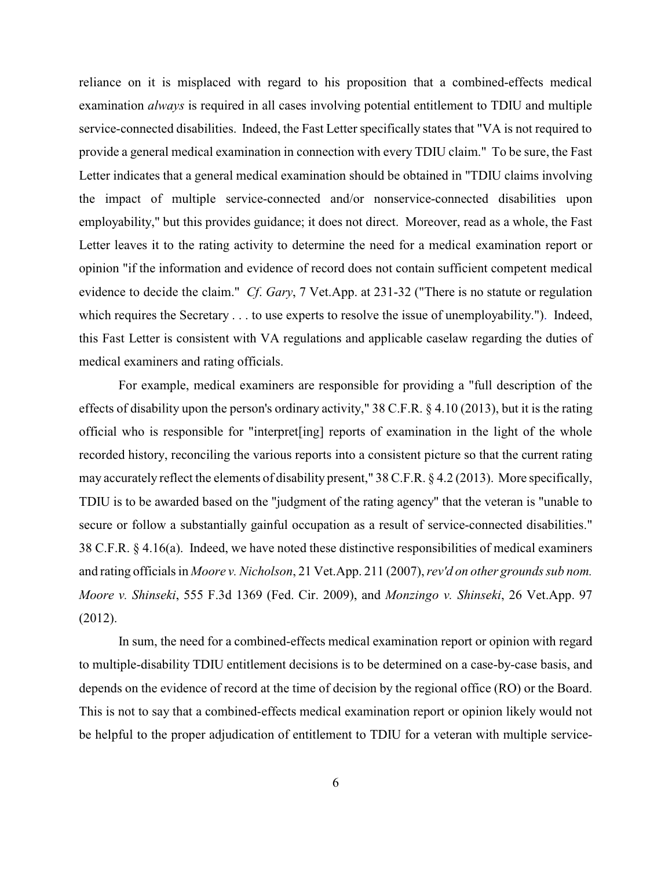reliance on it is misplaced with regard to his proposition that a combined-effects medical examination *always* is required in all cases involving potential entitlement to TDIU and multiple service-connected disabilities. Indeed, the Fast Letter specifically states that "VA is not required to provide a general medical examination in connection with every TDIU claim." To be sure, the Fast Letter indicates that a general medical examination should be obtained in "TDIU claims involving the impact of multiple service-connected and/or nonservice-connected disabilities upon employability," but this provides guidance; it does not direct. Moreover, read as a whole, the Fast Letter leaves it to the rating activity to determine the need for a medical examination report or opinion "if the information and evidence of record does not contain sufficient competent medical evidence to decide the claim." *Cf*. *Gary*, 7 Vet.App. at 231-32 ("There is no statute or regulation which requires the Secretary . . . to use experts to resolve the issue of unemployability."). Indeed, this Fast Letter is consistent with VA regulations and applicable caselaw regarding the duties of medical examiners and rating officials.

For example, medical examiners are responsible for providing a "full description of the effects of disability upon the person's ordinary activity," 38 C.F.R. § 4.10 (2013), but it is the rating official who is responsible for "interpret[ing] reports of examination in the light of the whole recorded history, reconciling the various reports into a consistent picture so that the current rating may accurately reflect the elements of disability present," 38 C.F.R. § 4.2 (2013). More specifically, TDIU is to be awarded based on the "judgment of the rating agency" that the veteran is "unable to secure or follow a substantially gainful occupation as a result of service-connected disabilities." 38 C.F.R. § 4.16(a). Indeed, we have noted these distinctive responsibilities of medical examiners and rating officials in *Moore v. Nicholson*, 21 Vet.App. 211 (2007), *rev'd on other grounds sub nom. Moore v. Shinseki*, 555 F.3d 1369 (Fed. Cir. 2009), and *Monzingo v. Shinseki*, 26 Vet.App. 97 (2012).

In sum, the need for a combined-effects medical examination report or opinion with regard to multiple-disability TDIU entitlement decisions is to be determined on a case-by-case basis, and depends on the evidence of record at the time of decision by the regional office (RO) or the Board. This is not to say that a combined-effects medical examination report or opinion likely would not be helpful to the proper adjudication of entitlement to TDIU for a veteran with multiple service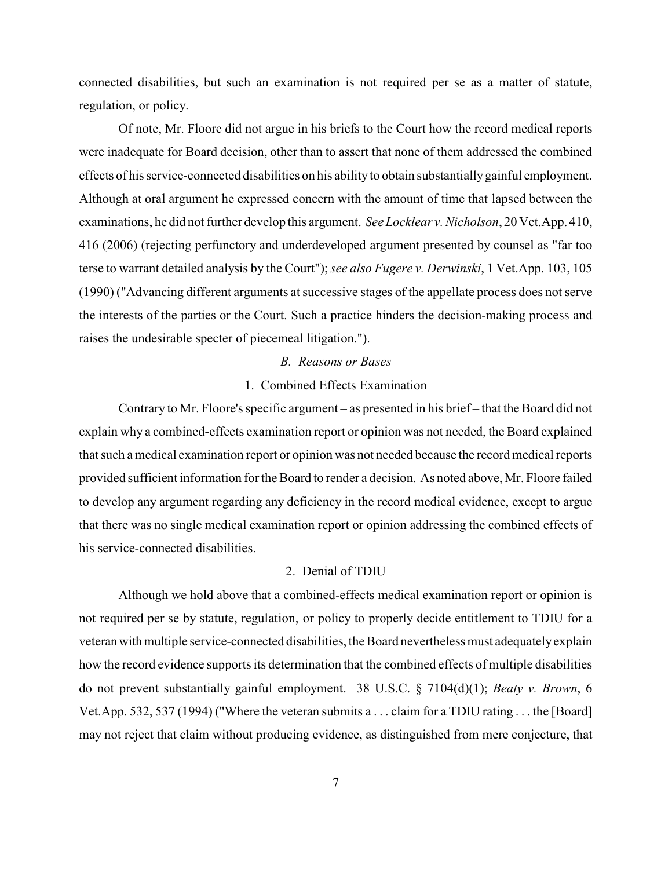connected disabilities, but such an examination is not required per se as a matter of statute, regulation, or policy.

Of note, Mr. Floore did not argue in his briefs to the Court how the record medical reports were inadequate for Board decision, other than to assert that none of them addressed the combined effects of his service-connected disabilities on his abilityto obtain substantiallygainful employment. Although at oral argument he expressed concern with the amount of time that lapsed between the examinations, he did not further develop this argument. *See Locklear v. Nicholson*, 20 Vet.App. 410, 416 (2006) (rejecting perfunctory and underdeveloped argument presented by counsel as "far too terse to warrant detailed analysis by the Court"); *see also Fugere v. Derwinski*, 1 Vet.App. 103, 105 (1990) ("Advancing different arguments at successive stages of the appellate process does not serve the interests of the parties or the Court. Such a practice hinders the decision-making process and raises the undesirable specter of piecemeal litigation.").

### *B. Reasons or Bases*

### 1. Combined Effects Examination

Contrary to Mr. Floore's specific argument – as presented in his brief – that the Board did not explain why a combined-effects examination report or opinion was not needed, the Board explained that such a medical examination report or opinion was not needed because the record medical reports provided sufficient information for the Board to render a decision. As noted above, Mr. Floore failed to develop any argument regarding any deficiency in the record medical evidence, except to argue that there was no single medical examination report or opinion addressing the combined effects of his service-connected disabilities.

#### 2. Denial of TDIU

Although we hold above that a combined-effects medical examination report or opinion is not required per se by statute, regulation, or policy to properly decide entitlement to TDIU for a veteranwithmultiple service-connected disabilities, the Board nevertheless must adequatelyexplain how the record evidence supports its determination that the combined effects of multiple disabilities do not prevent substantially gainful employment. 38 U.S.C. § 7104(d)(1); *Beaty v. Brown*, 6 Vet.App. 532, 537 (1994) ("Where the veteran submits a . . . claim for a TDIU rating . . . the [Board] may not reject that claim without producing evidence, as distinguished from mere conjecture, that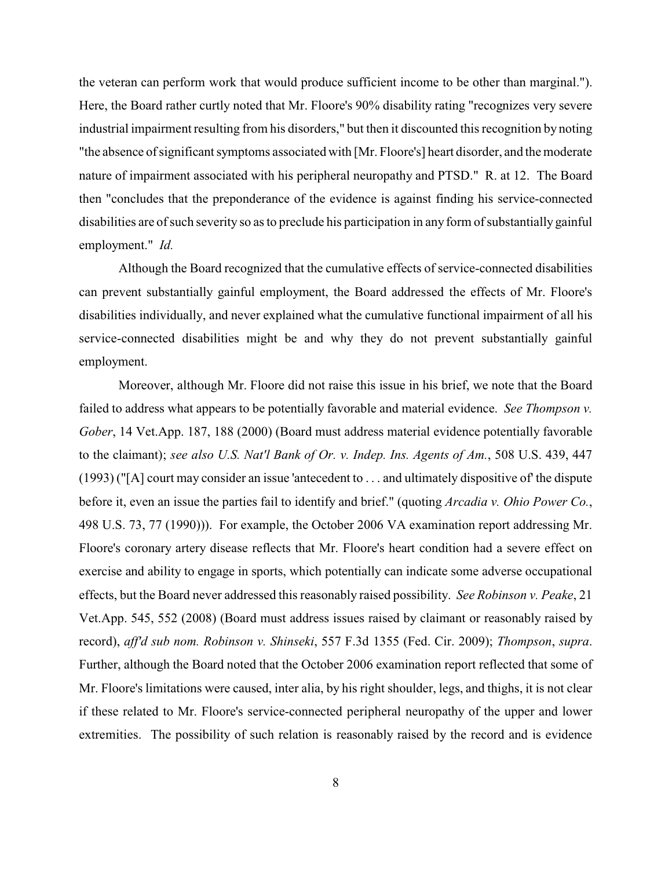the veteran can perform work that would produce sufficient income to be other than marginal."). Here, the Board rather curtly noted that Mr. Floore's 90% disability rating "recognizes very severe industrial impairment resulting from his disorders," but then it discounted this recognition by noting "the absence of significant symptoms associated with [Mr. Floore's] heart disorder, and the moderate nature of impairment associated with his peripheral neuropathy and PTSD." R. at 12. The Board then "concludes that the preponderance of the evidence is against finding his service-connected disabilities are of such severity so as to preclude his participation in any form of substantially gainful employment." *Id.*

Although the Board recognized that the cumulative effects of service-connected disabilities can prevent substantially gainful employment, the Board addressed the effects of Mr. Floore's disabilities individually, and never explained what the cumulative functional impairment of all his service-connected disabilities might be and why they do not prevent substantially gainful employment.

Moreover, although Mr. Floore did not raise this issue in his brief, we note that the Board failed to address what appears to be potentially favorable and material evidence. *See Thompson v. Gober*, 14 Vet.App. 187, 188 (2000) (Board must address material evidence potentially favorable to the claimant); *see also U.S. Nat'l Bank of Or. v. Indep. Ins. Agents of Am.*, 508 U.S. 439, 447 (1993) ("[A] court may consider an issue 'antecedent to . . . and ultimately dispositive of' the dispute before it, even an issue the parties fail to identify and brief." (quoting *Arcadia v. Ohio Power Co.*, 498 U.S. 73, 77 (1990))). For example, the October 2006 VA examination report addressing Mr. Floore's coronary artery disease reflects that Mr. Floore's heart condition had a severe effect on exercise and ability to engage in sports, which potentially can indicate some adverse occupational effects, but the Board never addressed this reasonably raised possibility. *See Robinson v. Peake*, 21 Vet.App. 545, 552 (2008) (Board must address issues raised by claimant or reasonably raised by record), *aff'd sub nom. Robinson v. Shinseki*, 557 F.3d 1355 (Fed. Cir. 2009); *Thompson*, *supra*. Further, although the Board noted that the October 2006 examination report reflected that some of Mr. Floore's limitations were caused, inter alia, by his right shoulder, legs, and thighs, it is not clear if these related to Mr. Floore's service-connected peripheral neuropathy of the upper and lower extremities. The possibility of such relation is reasonably raised by the record and is evidence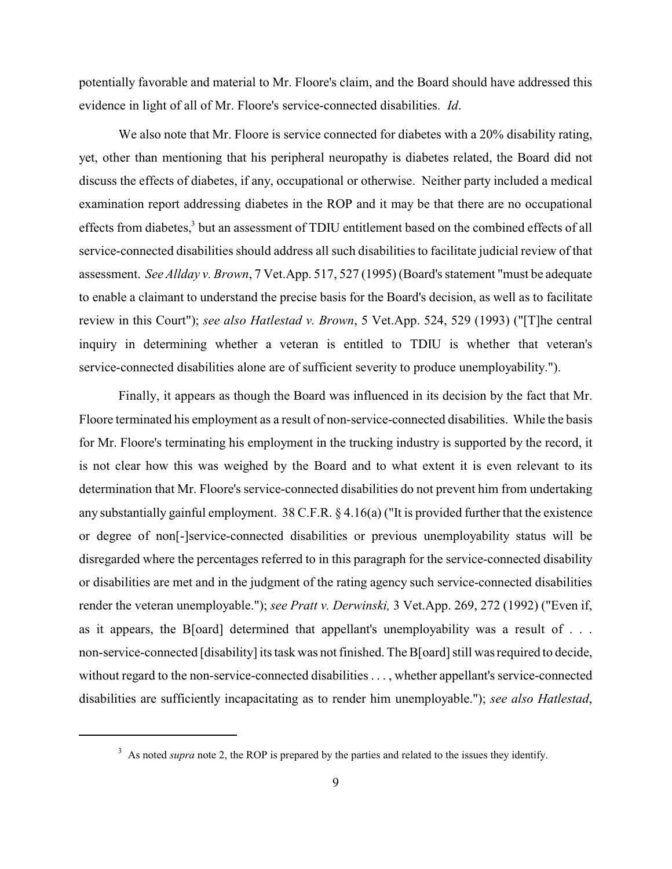potentially favorable and material to Mr. Floore's claim, and the Board should have addressed this evidence in light of all of Mr. Floore's service-connected disabilities. *Id*.

We also note that Mr. Floore is service connected for diabetes with a 20% disability rating, yet, other than mentioning that his peripheral neuropathy is diabetes related, the Board did not discuss the effects of diabetes, if any, occupational or otherwise. Neither party included a medical examination report addressing diabetes in the ROP and it may be that there are no occupational effects from diabetes,<sup>3</sup> but an assessment of TDIU entitlement based on the combined effects of all service-connected disabilities should address all such disabilities to facilitate judicial review of that assessment. *See Allday v. Brown*, 7 Vet.App. 517, 527 (1995) (Board's statement "must be adequate to enable a claimant to understand the precise basis for the Board's decision, as well as to facilitate review in this Court"); *see also Hatlestad v. Brown*, 5 Vet.App. 524, 529 (1993) ("[T]he central inquiry in determining whether a veteran is entitled to TDIU is whether that veteran's service-connected disabilities alone are of sufficient severity to produce unemployability.").

Finally, it appears as though the Board was influenced in its decision by the fact that Mr. Floore terminated his employment as a result of non-service-connected disabilities. While the basis for Mr. Floore's terminating his employment in the trucking industry is supported by the record, it is not clear how this was weighed by the Board and to what extent it is even relevant to its determination that Mr. Floore's service-connected disabilities do not prevent him from undertaking any substantially gainful employment. 38 C.F.R. § 4.16(a) ("It is provided further that the existence or degree of non[-]service-connected disabilities or previous unemployability status will be disregarded where the percentages referred to in this paragraph for the service-connected disability or disabilities are met and in the judgment of the rating agency such service-connected disabilities render the veteran unemployable."); *see Pratt v. Derwinski,* 3 Vet.App. 269, 272 (1992) ("Even if, as it appears, the B[oard] determined that appellant's unemployability was a result of . . . non-service-connected [disability] its task was not finished. The B[oard] still was required to decide, without regard to the non-service-connected disabilities . . . , whether appellant's service-connected disabilities are sufficiently incapacitating as to render him unemployable."); *see also Hatlestad*,

<sup>&</sup>lt;sup>3</sup> As noted *supra* note 2, the ROP is prepared by the parties and related to the issues they identify.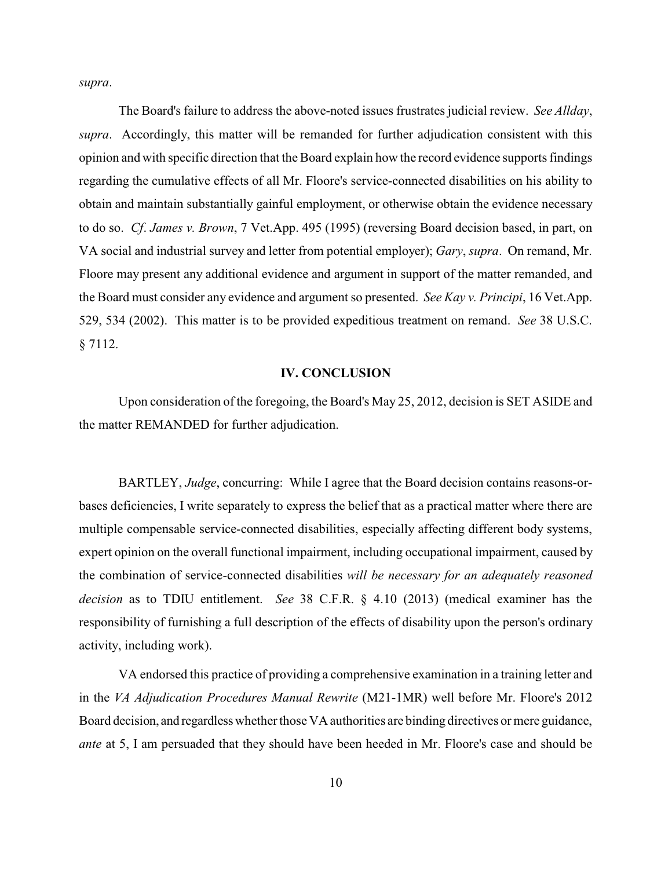*supra*.

The Board's failure to address the above-noted issues frustrates judicial review. *See Allday*, *supra*. Accordingly, this matter will be remanded for further adjudication consistent with this opinion and with specific direction that the Board explain how the record evidence supports findings regarding the cumulative effects of all Mr. Floore's service-connected disabilities on his ability to obtain and maintain substantially gainful employment, or otherwise obtain the evidence necessary to do so. *Cf*. *James v. Brown*, 7 Vet.App. 495 (1995) (reversing Board decision based, in part, on VA social and industrial survey and letter from potential employer); *Gary*, *supra*. On remand, Mr. Floore may present any additional evidence and argument in support of the matter remanded, and the Board must consider any evidence and argument so presented. *See Kay v. Principi*, 16 Vet.App. 529, 534 (2002). This matter is to be provided expeditious treatment on remand. *See* 38 U.S.C. § 7112.

### **IV. CONCLUSION**

Upon consideration of the foregoing, the Board's May 25, 2012, decision is SET ASIDE and the matter REMANDED for further adjudication.

BARTLEY, *Judge*, concurring: While I agree that the Board decision contains reasons-orbases deficiencies, I write separately to express the belief that as a practical matter where there are multiple compensable service-connected disabilities, especially affecting different body systems, expert opinion on the overall functional impairment, including occupational impairment, caused by the combination of service-connected disabilities *will be necessary for an adequately reasoned decision* as to TDIU entitlement. *See* 38 C.F.R. § 4.10 (2013) (medical examiner has the responsibility of furnishing a full description of the effects of disability upon the person's ordinary activity, including work).

VA endorsed this practice of providing a comprehensive examination in a training letter and in the *VA Adjudication Procedures Manual Rewrite* (M21-1MR) well before Mr. Floore's 2012 Board decision, and regardless whether those VA authorities are binding directives or mere guidance, *ante* at 5, I am persuaded that they should have been heeded in Mr. Floore's case and should be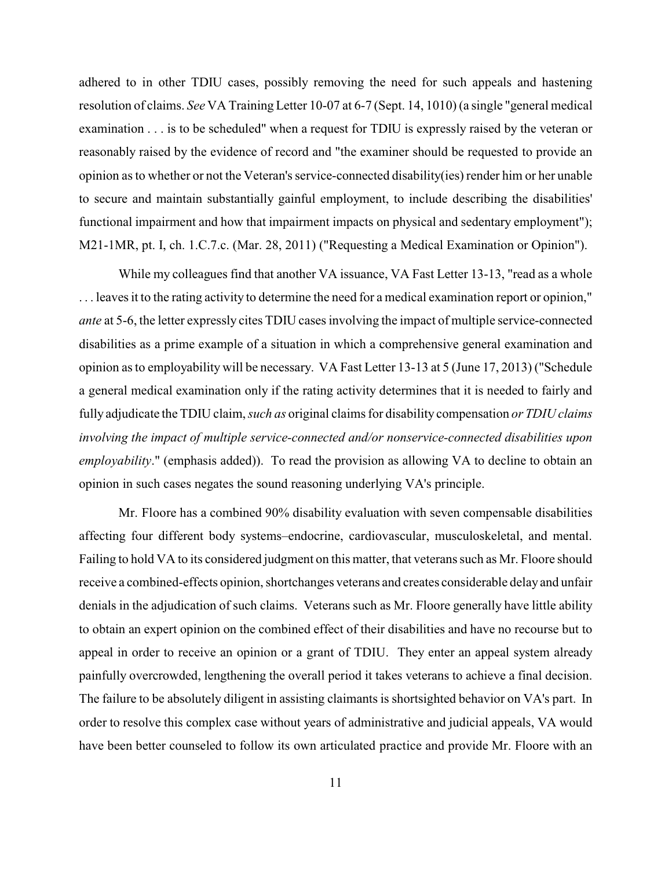adhered to in other TDIU cases, possibly removing the need for such appeals and hastening resolution of claims. *See* VA Training Letter 10-07 at 6-7 (Sept. 14, 1010) (a single "general medical examination . . . is to be scheduled" when a request for TDIU is expressly raised by the veteran or reasonably raised by the evidence of record and "the examiner should be requested to provide an opinion as to whether or not the Veteran's service-connected disability(ies) render him or her unable to secure and maintain substantially gainful employment, to include describing the disabilities' functional impairment and how that impairment impacts on physical and sedentary employment"); M21-1MR, pt. I, ch. 1.C.7.c. (Mar. 28, 2011) ("Requesting a Medical Examination or Opinion").

While my colleagues find that another VA issuance, VA Fast Letter 13-13, "read as a whole . . . leaves it to the rating activity to determine the need for a medical examination report or opinion," *ante* at 5-6, the letter expressly cites TDIU cases involving the impact of multiple service-connected disabilities as a prime example of a situation in which a comprehensive general examination and opinion as to employability will be necessary. VA Fast Letter 13-13 at 5 (June 17, 2013) ("Schedule a general medical examination only if the rating activity determines that it is needed to fairly and fully adjudicate the TDIU claim, *such as* original claims for disability compensation *or TDIU claims involving the impact of multiple service-connected and/or nonservice-connected disabilities upon employability*." (emphasis added)). To read the provision as allowing VA to decline to obtain an opinion in such cases negates the sound reasoning underlying VA's principle.

Mr. Floore has a combined 90% disability evaluation with seven compensable disabilities affecting four different body systems–endocrine, cardiovascular, musculoskeletal, and mental. Failing to hold VA to its considered judgment on this matter, that veterans such as Mr. Floore should receive a combined-effects opinion, shortchanges veterans and creates considerable delayand unfair denials in the adjudication of such claims. Veterans such as Mr. Floore generally have little ability to obtain an expert opinion on the combined effect of their disabilities and have no recourse but to appeal in order to receive an opinion or a grant of TDIU. They enter an appeal system already painfully overcrowded, lengthening the overall period it takes veterans to achieve a final decision. The failure to be absolutely diligent in assisting claimants is shortsighted behavior on VA's part. In order to resolve this complex case without years of administrative and judicial appeals, VA would have been better counseled to follow its own articulated practice and provide Mr. Floore with an